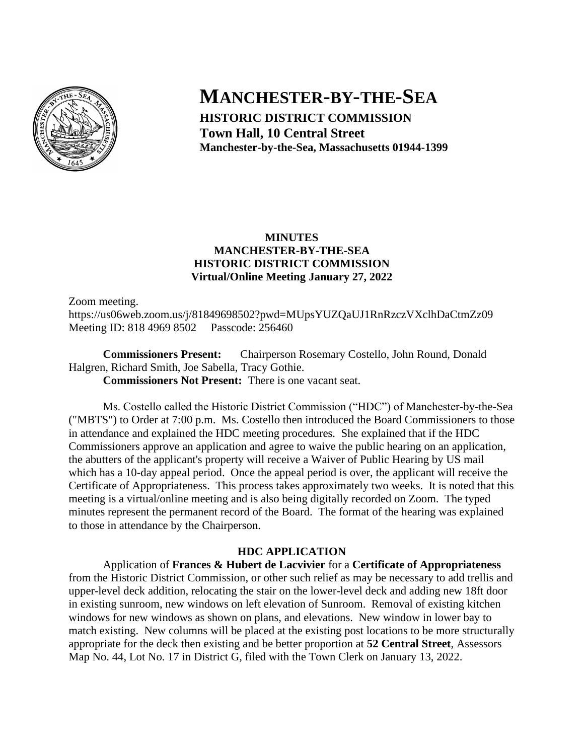

# **MANCHESTER-BY-THE-SEA**

**HISTORIC DISTRICT COMMISSION Town Hall, 10 Central Street Manchester-by-the-Sea, Massachusetts 01944-1399**

## **MINUTES MANCHESTER-BY-THE-SEA HISTORIC DISTRICT COMMISSION Virtual/Online Meeting January 27, 2022**

Zoom meeting.

https://us06web.zoom.us/j/81849698502?pwd=MUpsYUZQaUJ1RnRzczVXclhDaCtmZz09 Meeting ID: 818 4969 8502 Passcode: 256460

**Commissioners Present:** Chairperson Rosemary Costello, John Round, Donald Halgren, Richard Smith, Joe Sabella, Tracy Gothie. **Commissioners Not Present:** There is one vacant seat.

Ms. Costello called the Historic District Commission ("HDC") of Manchester-by-the-Sea ("MBTS") to Order at 7:00 p.m. Ms. Costello then introduced the Board Commissioners to those in attendance and explained the HDC meeting procedures. She explained that if the HDC Commissioners approve an application and agree to waive the public hearing on an application, the abutters of the applicant's property will receive a Waiver of Public Hearing by US mail which has a 10-day appeal period. Once the appeal period is over, the applicant will receive the Certificate of Appropriateness. This process takes approximately two weeks. It is noted that this meeting is a virtual/online meeting and is also being digitally recorded on Zoom. The typed minutes represent the permanent record of the Board. The format of the hearing was explained to those in attendance by the Chairperson.

## **HDC APPLICATION**

Application of **Frances & Hubert de Lacvivier** for a **Certificate of Appropriateness** from the Historic District Commission, or other such relief as may be necessary to add trellis and upper-level deck addition, relocating the stair on the lower-level deck and adding new 18ft door in existing sunroom, new windows on left elevation of Sunroom. Removal of existing kitchen windows for new windows as shown on plans, and elevations. New window in lower bay to match existing. New columns will be placed at the existing post locations to be more structurally appropriate for the deck then existing and be better proportion at **52 Central Street**, Assessors Map No. 44, Lot No. 17 in District G, filed with the Town Clerk on January 13, 2022.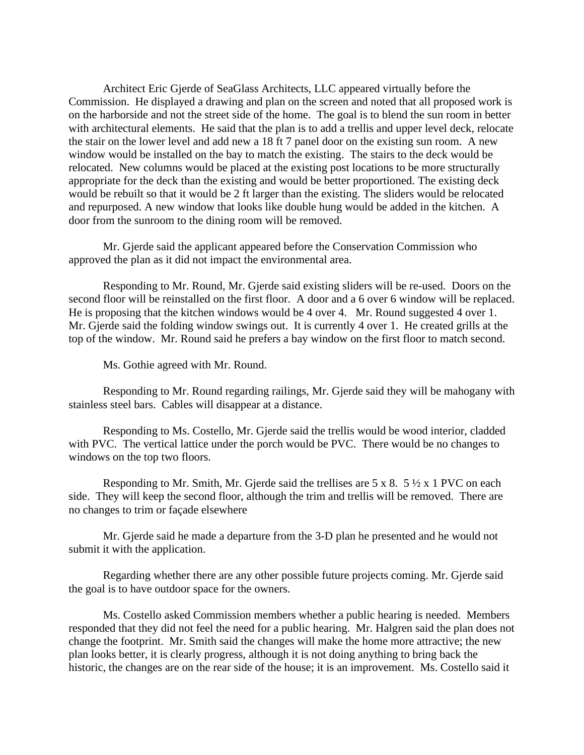Architect Eric Gjerde of SeaGlass Architects, LLC appeared virtually before the Commission. He displayed a drawing and plan on the screen and noted that all proposed work is on the harborside and not the street side of the home. The goal is to blend the sun room in better with architectural elements. He said that the plan is to add a trellis and upper level deck, relocate the stair on the lower level and add new a 18 ft 7 panel door on the existing sun room. A new window would be installed on the bay to match the existing. The stairs to the deck would be relocated. New columns would be placed at the existing post locations to be more structurally appropriate for the deck than the existing and would be better proportioned. The existing deck would be rebuilt so that it would be 2 ft larger than the existing. The sliders would be relocated and repurposed. A new window that looks like double hung would be added in the kitchen. A door from the sunroom to the dining room will be removed.

Mr. Gjerde said the applicant appeared before the Conservation Commission who approved the plan as it did not impact the environmental area.

Responding to Mr. Round, Mr. Gjerde said existing sliders will be re-used. Doors on the second floor will be reinstalled on the first floor. A door and a 6 over 6 window will be replaced. He is proposing that the kitchen windows would be 4 over 4. Mr. Round suggested 4 over 1. Mr. Gjerde said the folding window swings out. It is currently 4 over 1. He created grills at the top of the window. Mr. Round said he prefers a bay window on the first floor to match second.

Ms. Gothie agreed with Mr. Round.

Responding to Mr. Round regarding railings, Mr. Gjerde said they will be mahogany with stainless steel bars. Cables will disappear at a distance.

Responding to Ms. Costello, Mr. Gjerde said the trellis would be wood interior, cladded with PVC. The vertical lattice under the porch would be PVC. There would be no changes to windows on the top two floors.

Responding to Mr. Smith, Mr. Gjerde said the trellises are  $5 \times 8$ .  $5 \frac{1}{2} \times 1$  PVC on each side. They will keep the second floor, although the trim and trellis will be removed. There are no changes to trim or façade elsewhere

Mr. Gjerde said he made a departure from the 3-D plan he presented and he would not submit it with the application.

Regarding whether there are any other possible future projects coming. Mr. Gjerde said the goal is to have outdoor space for the owners.

Ms. Costello asked Commission members whether a public hearing is needed. Members responded that they did not feel the need for a public hearing. Mr. Halgren said the plan does not change the footprint. Mr. Smith said the changes will make the home more attractive; the new plan looks better, it is clearly progress, although it is not doing anything to bring back the historic, the changes are on the rear side of the house; it is an improvement. Ms. Costello said it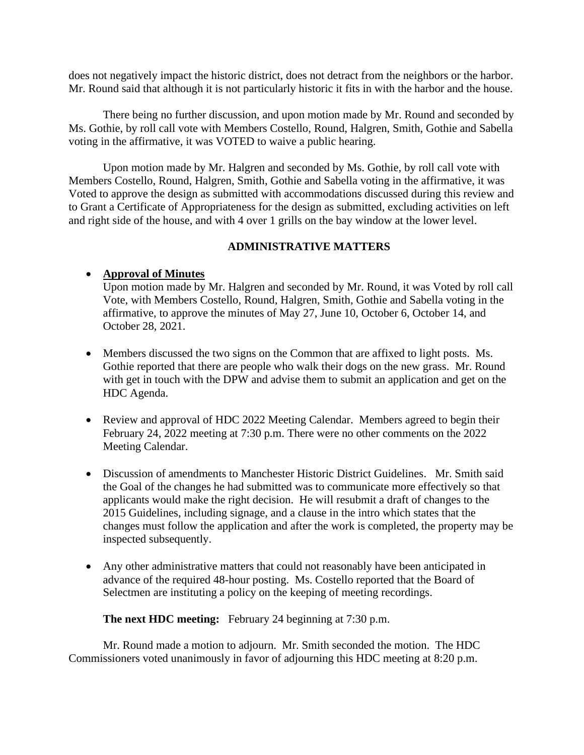does not negatively impact the historic district, does not detract from the neighbors or the harbor. Mr. Round said that although it is not particularly historic it fits in with the harbor and the house.

There being no further discussion, and upon motion made by Mr. Round and seconded by Ms. Gothie, by roll call vote with Members Costello, Round, Halgren, Smith, Gothie and Sabella voting in the affirmative, it was VOTED to waive a public hearing.

Upon motion made by Mr. Halgren and seconded by Ms. Gothie, by roll call vote with Members Costello, Round, Halgren, Smith, Gothie and Sabella voting in the affirmative, it was Voted to approve the design as submitted with accommodations discussed during this review and to Grant a Certificate of Appropriateness for the design as submitted, excluding activities on left and right side of the house, and with 4 over 1 grills on the bay window at the lower level.

## **ADMINISTRATIVE MATTERS**

## • **Approval of Minutes**

Upon motion made by Mr. Halgren and seconded by Mr. Round, it was Voted by roll call Vote, with Members Costello, Round, Halgren, Smith, Gothie and Sabella voting in the affirmative, to approve the minutes of May 27, June 10, October 6, October 14, and October 28, 2021.

- Members discussed the two signs on the Common that are affixed to light posts. Ms. Gothie reported that there are people who walk their dogs on the new grass. Mr. Round with get in touch with the DPW and advise them to submit an application and get on the HDC Agenda.
- Review and approval of HDC 2022 Meeting Calendar. Members agreed to begin their February 24, 2022 meeting at 7:30 p.m. There were no other comments on the 2022 Meeting Calendar.
- Discussion of amendments to Manchester Historic District Guidelines. Mr. Smith said the Goal of the changes he had submitted was to communicate more effectively so that applicants would make the right decision. He will resubmit a draft of changes to the 2015 Guidelines, including signage, and a clause in the intro which states that the changes must follow the application and after the work is completed, the property may be inspected subsequently.
- Any other administrative matters that could not reasonably have been anticipated in advance of the required 48-hour posting. Ms. Costello reported that the Board of Selectmen are instituting a policy on the keeping of meeting recordings.

**The next HDC meeting:** February 24 beginning at 7:30 p.m.

Mr. Round made a motion to adjourn. Mr. Smith seconded the motion. The HDC Commissioners voted unanimously in favor of adjourning this HDC meeting at 8:20 p.m.